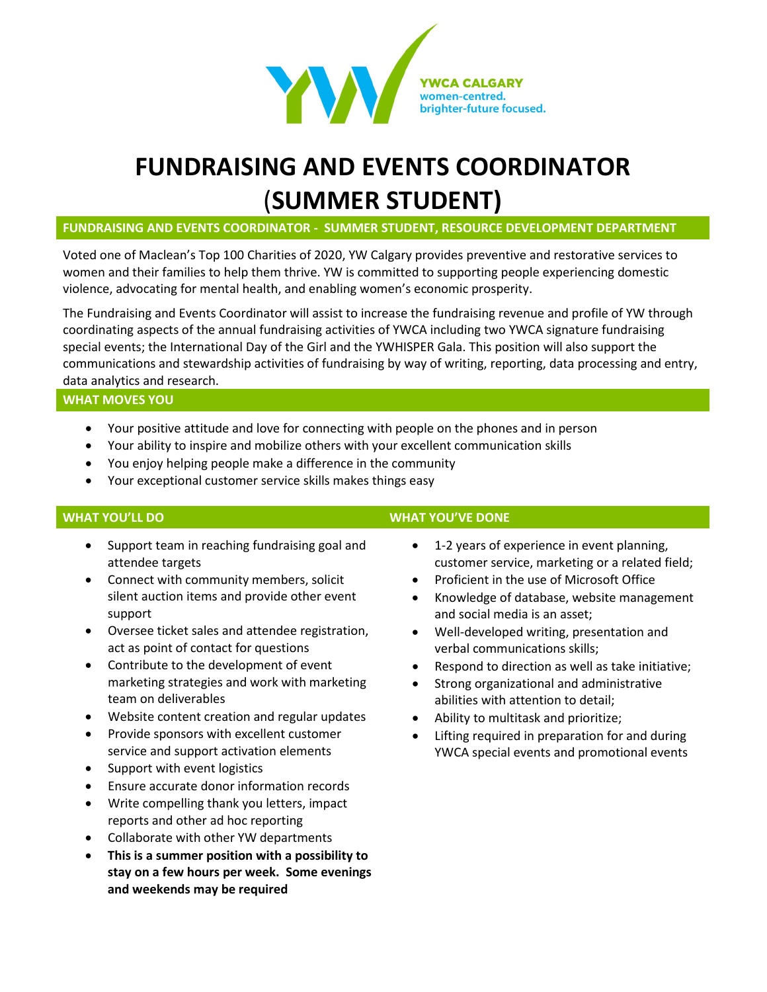

# **FUNDRAISING AND EVENTS COORDINATOR** (**SUMMER STUDENT)**

**FUNDRAISING AND EVENTS COORDINATOR - SUMMER STUDENT, RESOURCE DEVELOPMENT DEPARTMENT**

Voted one of Maclean's Top 100 Charities of 2020, YW Calgary provides preventive and restorative services to women and their families to help them thrive. YW is committed to supporting people experiencing domestic violence, advocating for mental health, and enabling women's economic prosperity.

The Fundraising and Events Coordinator will assist to increase the fundraising revenue and profile of YW through coordinating aspects of the annual fundraising activities of YWCA including two YWCA signature fundraising special events; the International Day of the Girl and the YWHISPER Gala. This position will also support the communications and stewardship activities of fundraising by way of writing, reporting, data processing and entry, data analytics and research.

### **WHAT MOVES YOU**

- Your positive attitude and love for connecting with people on the phones and in person
- Your ability to inspire and mobilize others with your excellent communication skills
- You enjoy helping people make a difference in the community
- Your exceptional customer service skills makes things easy

- Support team in reaching fundraising goal and attendee targets
- Connect with community members, solicit silent auction items and provide other event support
- Oversee ticket sales and attendee registration, act as point of contact for questions
- Contribute to the development of event marketing strategies and work with marketing team on deliverables
- Website content creation and regular updates
- Provide sponsors with excellent customer service and support activation elements
- Support with event logistics
- Ensure accurate donor information records
- Write compelling thank you letters, impact reports and other ad hoc reporting
- Collaborate with other YW departments
- **This is a summer position with a possibility to stay on a few hours per week. Some evenings and weekends may be required**

### **WHAT YOU'LL DO WHAT YOU'VE DONE**

- 1-2 years of experience in event planning, customer service, marketing or a related field;
- Proficient in the use of Microsoft Office
- Knowledge of database, website management and social media is an asset;
- Well-developed writing, presentation and verbal communications skills;
- Respond to direction as well as take initiative;
- Strong organizational and administrative abilities with attention to detail;
- Ability to multitask and prioritize;
- Lifting required in preparation for and during YWCA special events and promotional events